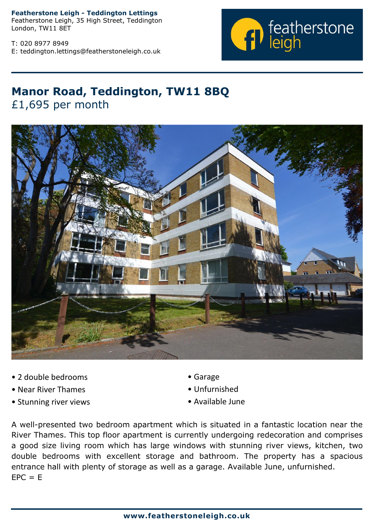**Featherstone Leigh - Teddington Lettings**

Featherstone Leigh, 35 High Street, Teddington London, TW11 8ET

T: 020 8977 8949 E: teddington.lettings@featherstoneleigh.co.uk



## **Manor Road, Teddington, TW11 8BQ** £1,695 per month



- 2 double bedrooms
- Near River Thames
- Stunning river views
- Garage
- Unfurnished
- Available June

A well-presented two bedroom apartment which is situated in a fantastic location near the River Thames. This top floor apartment is currently undergoing redecoration and comprises a good size living room which has large windows with stunning river views, kitchen, two double bedrooms with excellent storage and bathroom. The property has a spacious entrance hall with plenty of storage as well as a garage. Available June, unfurnished.  $EPC = E$